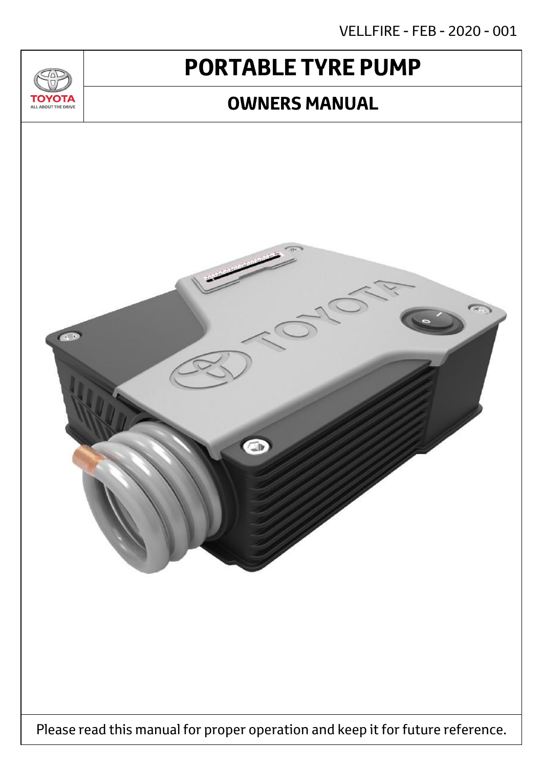VELLFIRE - FEB - 2020 - 001

# **PORTABLE TYRE PUMP**

 $T_{\Delta}$ 

**TOYOTA** ALL ABOUT THE DRIVE

## **OWNERS MANUAL**

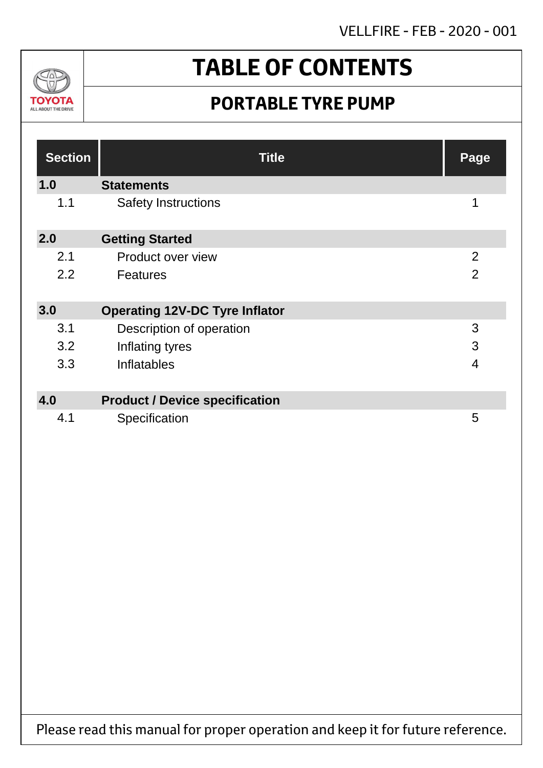VELLFIRE - FEB - 2020 - 001



# **TABLE OF CONTENTS**

## **PORTABLE TYRE PUMP**

| <b>Section</b> | <b>Title</b>                          | Page           |
|----------------|---------------------------------------|----------------|
| 1.0            | <b>Statements</b>                     |                |
| 1.1            | <b>Safety Instructions</b>            | 1              |
| 2.0            | <b>Getting Started</b>                |                |
| 2.1            | Product over view                     | $\overline{2}$ |
| 2.2            | <b>Features</b>                       | $\overline{2}$ |
| 3.0            | <b>Operating 12V-DC Tyre Inflator</b> |                |
| 3.1            | Description of operation              | 3              |
| 3.2            | Inflating tyres                       | 3              |
| 3.3            | Inflatables                           | $\overline{4}$ |
|                |                                       |                |
| 4.0            | <b>Product / Device specification</b> |                |
| 4.1            | Specification                         | 5              |

Please read this manual for proper operation and keep it for future reference.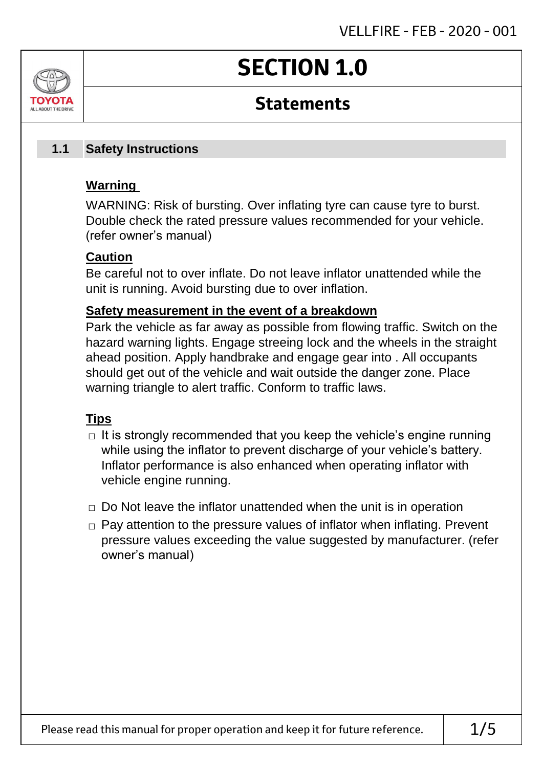# **SECTION 1.0**

### **Statements**

### **Safety Instructions 1.1**

### **Warning**

ALL AROUT THE DRIV

WARNING: Risk of bursting. Over inflating tyre can cause tyre to burst. Double check the rated pressure values recommended for your vehicle. (refer owner's manual)

### **Caution**

Be careful not to over inflate. Do not leave inflator unattended while the unit is running. Avoid bursting due to over inflation.

### **Safety measurement in the event of a breakdown**

Park the vehicle as far away as possible from flowing traffic. Switch on the hazard warning lights. Engage streeing lock and the wheels in the straight ahead position. Apply handbrake and engage gear into . All occupants should get out of the vehicle and wait outside the danger zone. Place warning triangle to alert traffic. Conform to traffic laws.

### **Tips**

- $\Box$  It is strongly recommended that you keep the vehicle's engine running while using the inflator to prevent discharge of your vehicle's battery. Inflator performance is also enhanced when operating inflator with vehicle engine running.
- $\Box$  Do Not leave the inflator unattended when the unit is in operation
- □ Pay attention to the pressure values of inflator when inflating. Prevent pressure values exceeding the value suggested by manufacturer. (refer owner's manual)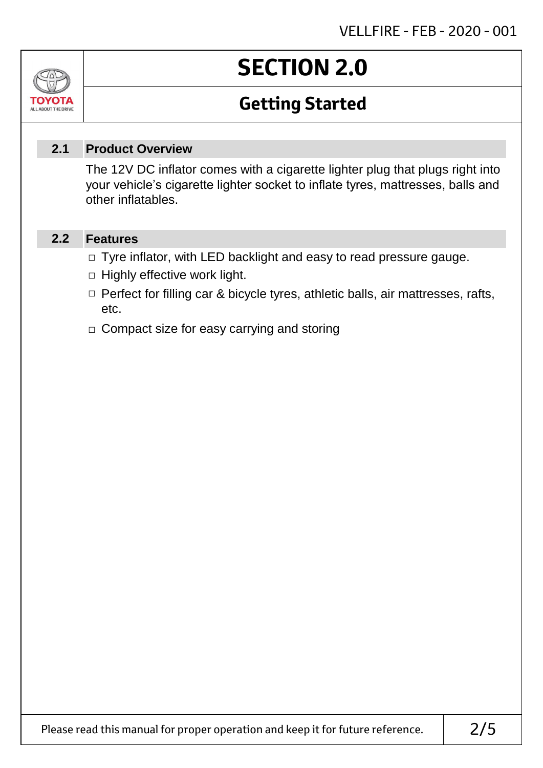# **SECTION 2.0**

## **Getting Started**

### **Product Overview 2.1**

The 12V DC inflator comes with a cigarette lighter plug that plugs right into your vehicle's cigarette lighter socket to inflate tyres, mattresses, balls and other inflatables.

#### **Features 2.2**

Jn

томогл ALL ABOUT THE DRIVE

- □ Tyre inflator, with LED backlight and easy to read pressure gauge.
- $\Box$  Highly effective work light.
- □ Perfect for filling car & bicycle tyres, athletic balls, air mattresses, rafts, etc.
- □ Compact size for easy carrying and storing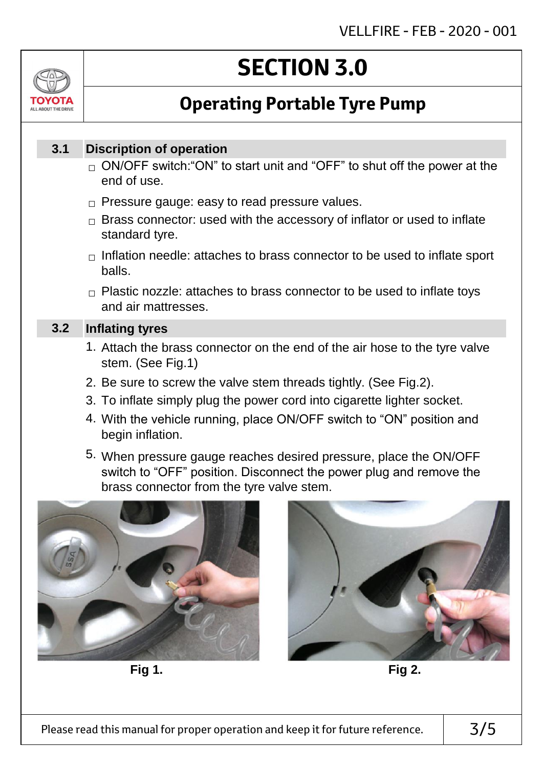# ALL AROUT THE DRIV

# **SECTION 3.0**

## **Operating Portable Tyre Pump**

### **Discription of operation 3.1**

- $_\square$  ON/OFF switch:"ON" to start unit and "OFF" to shut off the power at the end of use.
- $\Box$  Pressure gauge: easy to read pressure values.
- $\Box$  Brass connector: used with the accessory of inflator or used to inflate standard tyre.
- $\Box$  Inflation needle: attaches to brass connector to be used to inflate sport balls.
- $\Box$  Plastic nozzle: attaches to brass connector to be used to inflate toys and air mattresses.

### **Inflating tyres 3.2**

- 1. Attach the brass connector on the end of the air hose to the tyre valve stem. (See Fig.1)
- 2. Be sure to screw the valve stem threads tightly. (See Fig.2).
- 3. To inflate simply plug the power cord into cigarette lighter socket.
- 4. With the vehicle running, place ON/OFF switch to "ON" position and begin inflation.
- 5. When pressure gauge reaches desired pressure, place the ON/OFF switch to "OFF" position. Disconnect the power plug and remove the brass connector from the tyre valve stem.



**Fig 1. Fig 2.**

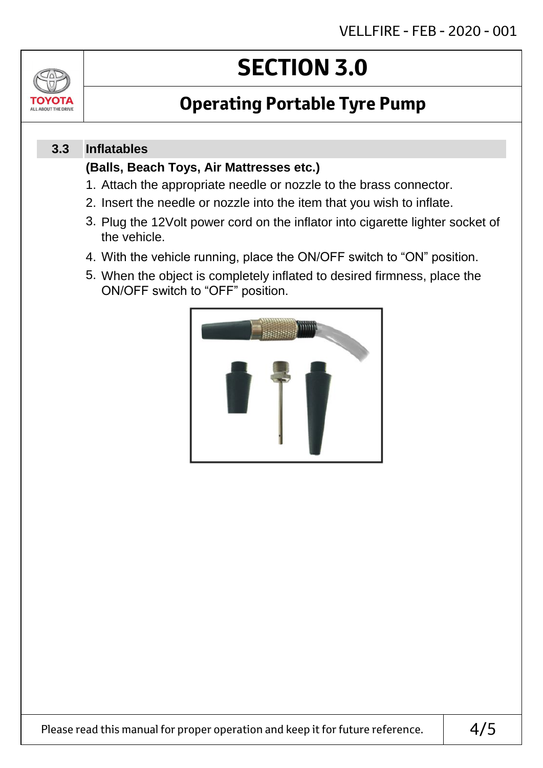# TOVOTZ ALL ABOUT THE DRIVE

# **SECTION 3.0**

## **Operating Portable Tyre Pump**

### **Inflatables 3.3**

### **(Balls, Beach Toys, Air Mattresses etc.)**

- 1. Attach the appropriate needle or nozzle to the brass connector.
- 2. Insert the needle or nozzle into the item that you wish to inflate.
- 3. Plug the 12Volt power cord on the inflator into cigarette lighter socket of the vehicle.
- 4. With the vehicle running, place the ON/OFF switch to "ON" position.
- 5. When the object is completely inflated to desired firmness, place the ON/OFF switch to "OFF" position.